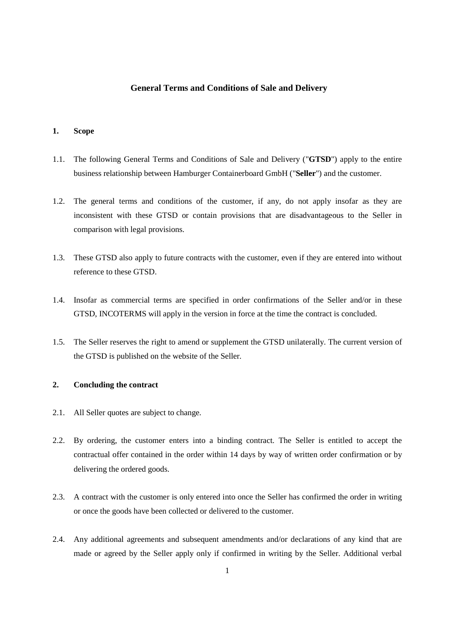# **General Terms and Conditions of Sale and Delivery**

# **1. Scope**

- 1.1. The following General Terms and Conditions of Sale and Delivery ("**GTSD**") apply to the entire business relationship between Hamburger Containerboard GmbH ("**Seller**") and the customer.
- 1.2. The general terms and conditions of the customer, if any, do not apply insofar as they are inconsistent with these GTSD or contain provisions that are disadvantageous to the Seller in comparison with legal provisions.
- 1.3. These GTSD also apply to future contracts with the customer, even if they are entered into without reference to these GTSD.
- 1.4. Insofar as commercial terms are specified in order confirmations of the Seller and/or in these GTSD, INCOTERMS will apply in the version in force at the time the contract is concluded.
- 1.5. The Seller reserves the right to amend or supplement the GTSD unilaterally. The current version of the GTSD is published on the website of the Seller.

### **2. Concluding the contract**

- 2.1. All Seller quotes are subject to change.
- 2.2. By ordering, the customer enters into a binding contract. The Seller is entitled to accept the contractual offer contained in the order within 14 days by way of written order confirmation or by delivering the ordered goods.
- 2.3. A contract with the customer is only entered into once the Seller has confirmed the order in writing or once the goods have been collected or delivered to the customer.
- 2.4. Any additional agreements and subsequent amendments and/or declarations of any kind that are made or agreed by the Seller apply only if confirmed in writing by the Seller. Additional verbal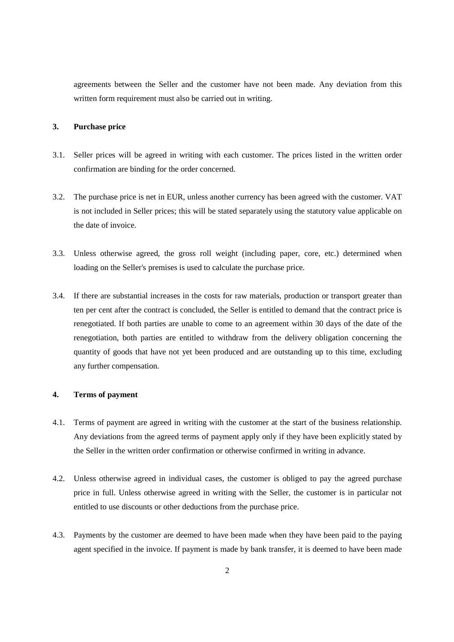agreements between the Seller and the customer have not been made. Any deviation from this written form requirement must also be carried out in writing.

#### **3. Purchase price**

- 3.1. Seller prices will be agreed in writing with each customer. The prices listed in the written order confirmation are binding for the order concerned.
- 3.2. The purchase price is net in EUR, unless another currency has been agreed with the customer. VAT is not included in Seller prices; this will be stated separately using the statutory value applicable on the date of invoice.
- 3.3. Unless otherwise agreed, the gross roll weight (including paper, core, etc.) determined when loading on the Seller's premises is used to calculate the purchase price.
- 3.4. If there are substantial increases in the costs for raw materials, production or transport greater than ten per cent after the contract is concluded, the Seller is entitled to demand that the contract price is renegotiated. If both parties are unable to come to an agreement within 30 days of the date of the renegotiation, both parties are entitled to withdraw from the delivery obligation concerning the quantity of goods that have not yet been produced and are outstanding up to this time, excluding any further compensation.

#### **4. Terms of payment**

- 4.1. Terms of payment are agreed in writing with the customer at the start of the business relationship. Any deviations from the agreed terms of payment apply only if they have been explicitly stated by the Seller in the written order confirmation or otherwise confirmed in writing in advance.
- 4.2. Unless otherwise agreed in individual cases, the customer is obliged to pay the agreed purchase price in full. Unless otherwise agreed in writing with the Seller, the customer is in particular not entitled to use discounts or other deductions from the purchase price.
- 4.3. Payments by the customer are deemed to have been made when they have been paid to the paying agent specified in the invoice. If payment is made by bank transfer, it is deemed to have been made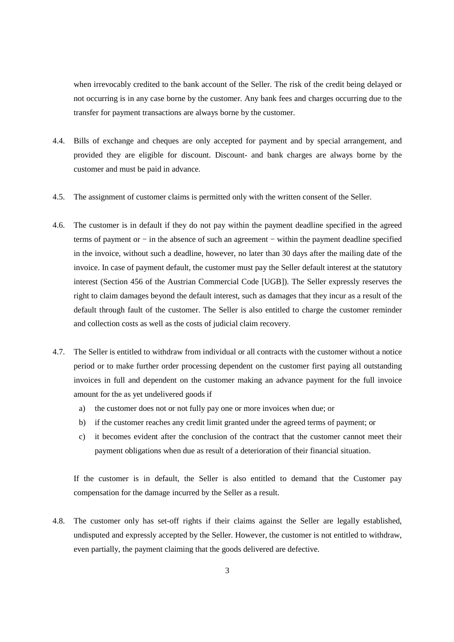when irrevocably credited to the bank account of the Seller. The risk of the credit being delayed or not occurring is in any case borne by the customer. Any bank fees and charges occurring due to the transfer for payment transactions are always borne by the customer.

- 4.4. Bills of exchange and cheques are only accepted for payment and by special arrangement, and provided they are eligible for discount. Discount- and bank charges are always borne by the customer and must be paid in advance.
- 4.5. The assignment of customer claims is permitted only with the written consent of the Seller.
- 4.6. The customer is in default if they do not pay within the payment deadline specified in the agreed terms of payment or − in the absence of such an agreement − within the payment deadline specified in the invoice, without such a deadline, however, no later than 30 days after the mailing date of the invoice. In case of payment default, the customer must pay the Seller default interest at the statutory interest (Section 456 of the Austrian Commercial Code [UGB]). The Seller expressly reserves the right to claim damages beyond the default interest, such as damages that they incur as a result of the default through fault of the customer. The Seller is also entitled to charge the customer reminder and collection costs as well as the costs of judicial claim recovery.
- 4.7. The Seller is entitled to withdraw from individual or all contracts with the customer without a notice period or to make further order processing dependent on the customer first paying all outstanding invoices in full and dependent on the customer making an advance payment for the full invoice amount for the as yet undelivered goods if
	- a) the customer does not or not fully pay one or more invoices when due; or
	- b) if the customer reaches any credit limit granted under the agreed terms of payment; or
	- c) it becomes evident after the conclusion of the contract that the customer cannot meet their payment obligations when due as result of a deterioration of their financial situation.

If the customer is in default, the Seller is also entitled to demand that the Customer pay compensation for the damage incurred by the Seller as a result.

4.8. The customer only has set-off rights if their claims against the Seller are legally established, undisputed and expressly accepted by the Seller. However, the customer is not entitled to withdraw, even partially, the payment claiming that the goods delivered are defective.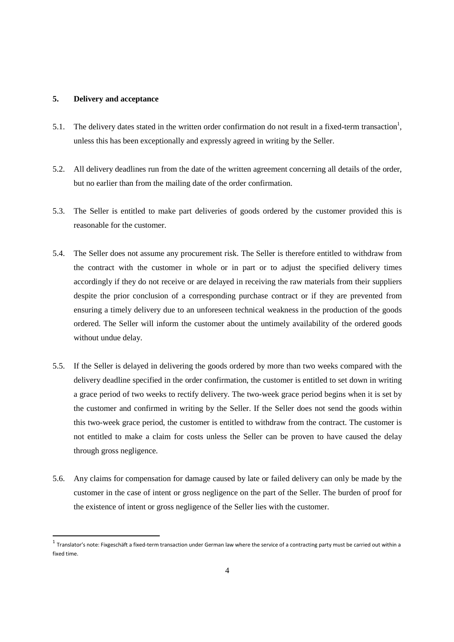## **5. Delivery and acceptance**

l

- 5.1. The delivery dates stated in the written order confirmation do not result in a fixed-term transaction<sup>1</sup>, unless this has been exceptionally and expressly agreed in writing by the Seller.
- 5.2. All delivery deadlines run from the date of the written agreement concerning all details of the order, but no earlier than from the mailing date of the order confirmation.
- 5.3. The Seller is entitled to make part deliveries of goods ordered by the customer provided this is reasonable for the customer.
- 5.4. The Seller does not assume any procurement risk. The Seller is therefore entitled to withdraw from the contract with the customer in whole or in part or to adjust the specified delivery times accordingly if they do not receive or are delayed in receiving the raw materials from their suppliers despite the prior conclusion of a corresponding purchase contract or if they are prevented from ensuring a timely delivery due to an unforeseen technical weakness in the production of the goods ordered. The Seller will inform the customer about the untimely availability of the ordered goods without undue delay.
- 5.5. If the Seller is delayed in delivering the goods ordered by more than two weeks compared with the delivery deadline specified in the order confirmation, the customer is entitled to set down in writing a grace period of two weeks to rectify delivery. The two-week grace period begins when it is set by the customer and confirmed in writing by the Seller. If the Seller does not send the goods within this two-week grace period, the customer is entitled to withdraw from the contract. The customer is not entitled to make a claim for costs unless the Seller can be proven to have caused the delay through gross negligence.
- 5.6. Any claims for compensation for damage caused by late or failed delivery can only be made by the customer in the case of intent or gross negligence on the part of the Seller. The burden of proof for the existence of intent or gross negligence of the Seller lies with the customer.

 $^1$  Translator's note: Fixgeschäft a fixed-term transaction under German law where the service of a contracting party must be carried out within a fixed time.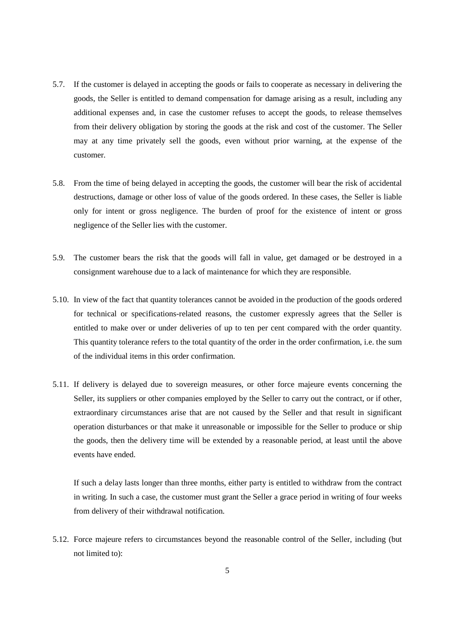- 5.7. If the customer is delayed in accepting the goods or fails to cooperate as necessary in delivering the goods, the Seller is entitled to demand compensation for damage arising as a result, including any additional expenses and, in case the customer refuses to accept the goods, to release themselves from their delivery obligation by storing the goods at the risk and cost of the customer. The Seller may at any time privately sell the goods, even without prior warning, at the expense of the customer.
- 5.8. From the time of being delayed in accepting the goods, the customer will bear the risk of accidental destructions, damage or other loss of value of the goods ordered. In these cases, the Seller is liable only for intent or gross negligence. The burden of proof for the existence of intent or gross negligence of the Seller lies with the customer.
- 5.9. The customer bears the risk that the goods will fall in value, get damaged or be destroyed in a consignment warehouse due to a lack of maintenance for which they are responsible.
- 5.10. In view of the fact that quantity tolerances cannot be avoided in the production of the goods ordered for technical or specifications-related reasons, the customer expressly agrees that the Seller is entitled to make over or under deliveries of up to ten per cent compared with the order quantity. This quantity tolerance refers to the total quantity of the order in the order confirmation, i.e. the sum of the individual items in this order confirmation.
- 5.11. If delivery is delayed due to sovereign measures, or other force majeure events concerning the Seller, its suppliers or other companies employed by the Seller to carry out the contract, or if other, extraordinary circumstances arise that are not caused by the Seller and that result in significant operation disturbances or that make it unreasonable or impossible for the Seller to produce or ship the goods, then the delivery time will be extended by a reasonable period, at least until the above events have ended.

If such a delay lasts longer than three months, either party is entitled to withdraw from the contract in writing. In such a case, the customer must grant the Seller a grace period in writing of four weeks from delivery of their withdrawal notification.

5.12. Force majeure refers to circumstances beyond the reasonable control of the Seller, including (but not limited to):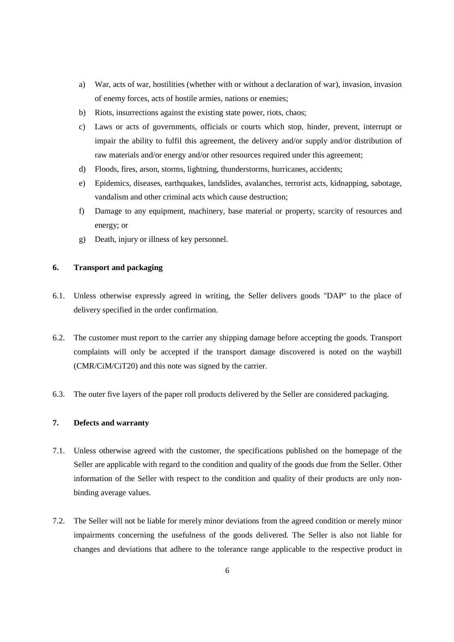- a) War, acts of war, hostilities (whether with or without a declaration of war), invasion, invasion of enemy forces, acts of hostile armies, nations or enemies;
- b) Riots, insurrections against the existing state power, riots, chaos;
- c) Laws or acts of governments, officials or courts which stop, hinder, prevent, interrupt or impair the ability to fulfil this agreement, the delivery and/or supply and/or distribution of raw materials and/or energy and/or other resources required under this agreement;
- d) Floods, fires, arson, storms, lightning, thunderstorms, hurricanes, accidents;
- e) Epidemics, diseases, earthquakes, landslides, avalanches, terrorist acts, kidnapping, sabotage, vandalism and other criminal acts which cause destruction;
- f) Damage to any equipment, machinery, base material or property, scarcity of resources and energy; or
- g) Death, injury or illness of key personnel.

### **6. Transport and packaging**

- 6.1. Unless otherwise expressly agreed in writing, the Seller delivers goods "DAP" to the place of delivery specified in the order confirmation.
- 6.2. The customer must report to the carrier any shipping damage before accepting the goods. Transport complaints will only be accepted if the transport damage discovered is noted on the waybill (CMR/CiM/CiT20) and this note was signed by the carrier.
- 6.3. The outer five layers of the paper roll products delivered by the Seller are considered packaging.

# **7. Defects and warranty**

- 7.1. Unless otherwise agreed with the customer, the specifications published on the homepage of the Seller are applicable with regard to the condition and quality of the goods due from the Seller. Other information of the Seller with respect to the condition and quality of their products are only nonbinding average values.
- 7.2. The Seller will not be liable for merely minor deviations from the agreed condition or merely minor impairments concerning the usefulness of the goods delivered. The Seller is also not liable for changes and deviations that adhere to the tolerance range applicable to the respective product in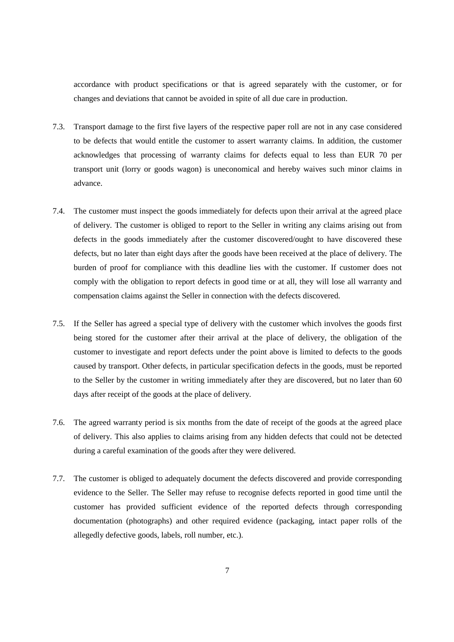accordance with product specifications or that is agreed separately with the customer, or for changes and deviations that cannot be avoided in spite of all due care in production.

- 7.3. Transport damage to the first five layers of the respective paper roll are not in any case considered to be defects that would entitle the customer to assert warranty claims. In addition, the customer acknowledges that processing of warranty claims for defects equal to less than EUR 70 per transport unit (lorry or goods wagon) is uneconomical and hereby waives such minor claims in advance.
- 7.4. The customer must inspect the goods immediately for defects upon their arrival at the agreed place of delivery. The customer is obliged to report to the Seller in writing any claims arising out from defects in the goods immediately after the customer discovered/ought to have discovered these defects, but no later than eight days after the goods have been received at the place of delivery. The burden of proof for compliance with this deadline lies with the customer. If customer does not comply with the obligation to report defects in good time or at all, they will lose all warranty and compensation claims against the Seller in connection with the defects discovered.
- 7.5. If the Seller has agreed a special type of delivery with the customer which involves the goods first being stored for the customer after their arrival at the place of delivery, the obligation of the customer to investigate and report defects under the point above is limited to defects to the goods caused by transport. Other defects, in particular specification defects in the goods, must be reported to the Seller by the customer in writing immediately after they are discovered, but no later than 60 days after receipt of the goods at the place of delivery.
- 7.6. The agreed warranty period is six months from the date of receipt of the goods at the agreed place of delivery. This also applies to claims arising from any hidden defects that could not be detected during a careful examination of the goods after they were delivered.
- 7.7. The customer is obliged to adequately document the defects discovered and provide corresponding evidence to the Seller. The Seller may refuse to recognise defects reported in good time until the customer has provided sufficient evidence of the reported defects through corresponding documentation (photographs) and other required evidence (packaging, intact paper rolls of the allegedly defective goods, labels, roll number, etc.).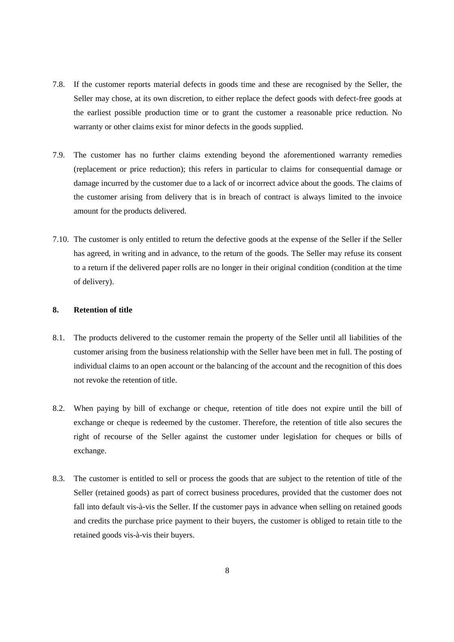- 7.8. If the customer reports material defects in goods time and these are recognised by the Seller, the Seller may chose, at its own discretion, to either replace the defect goods with defect-free goods at the earliest possible production time or to grant the customer a reasonable price reduction. No warranty or other claims exist for minor defects in the goods supplied.
- 7.9. The customer has no further claims extending beyond the aforementioned warranty remedies (replacement or price reduction); this refers in particular to claims for consequential damage or damage incurred by the customer due to a lack of or incorrect advice about the goods. The claims of the customer arising from delivery that is in breach of contract is always limited to the invoice amount for the products delivered.
- 7.10. The customer is only entitled to return the defective goods at the expense of the Seller if the Seller has agreed, in writing and in advance, to the return of the goods. The Seller may refuse its consent to a return if the delivered paper rolls are no longer in their original condition (condition at the time of delivery).

#### **8. Retention of title**

- 8.1. The products delivered to the customer remain the property of the Seller until all liabilities of the customer arising from the business relationship with the Seller have been met in full. The posting of individual claims to an open account or the balancing of the account and the recognition of this does not revoke the retention of title.
- 8.2. When paying by bill of exchange or cheque, retention of title does not expire until the bill of exchange or cheque is redeemed by the customer. Therefore, the retention of title also secures the right of recourse of the Seller against the customer under legislation for cheques or bills of exchange.
- 8.3. The customer is entitled to sell or process the goods that are subject to the retention of title of the Seller (retained goods) as part of correct business procedures, provided that the customer does not fall into default vis-à-vis the Seller. If the customer pays in advance when selling on retained goods and credits the purchase price payment to their buyers, the customer is obliged to retain title to the retained goods vis-à-vis their buyers.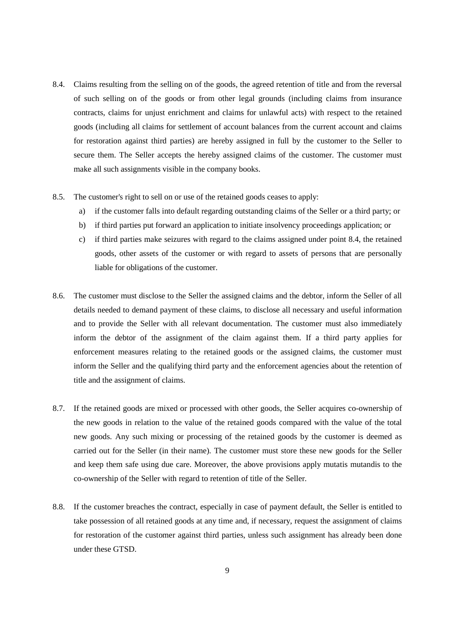- 8.4. Claims resulting from the selling on of the goods, the agreed retention of title and from the reversal of such selling on of the goods or from other legal grounds (including claims from insurance contracts, claims for unjust enrichment and claims for unlawful acts) with respect to the retained goods (including all claims for settlement of account balances from the current account and claims for restoration against third parties) are hereby assigned in full by the customer to the Seller to secure them. The Seller accepts the hereby assigned claims of the customer. The customer must make all such assignments visible in the company books.
- 8.5. The customer's right to sell on or use of the retained goods ceases to apply:
	- a) if the customer falls into default regarding outstanding claims of the Seller or a third party; or
	- b) if third parties put forward an application to initiate insolvency proceedings application; or
	- c) if third parties make seizures with regard to the claims assigned under point 8.4, the retained goods, other assets of the customer or with regard to assets of persons that are personally liable for obligations of the customer.
- 8.6. The customer must disclose to the Seller the assigned claims and the debtor, inform the Seller of all details needed to demand payment of these claims, to disclose all necessary and useful information and to provide the Seller with all relevant documentation. The customer must also immediately inform the debtor of the assignment of the claim against them. If a third party applies for enforcement measures relating to the retained goods or the assigned claims, the customer must inform the Seller and the qualifying third party and the enforcement agencies about the retention of title and the assignment of claims.
- 8.7. If the retained goods are mixed or processed with other goods, the Seller acquires co-ownership of the new goods in relation to the value of the retained goods compared with the value of the total new goods. Any such mixing or processing of the retained goods by the customer is deemed as carried out for the Seller (in their name). The customer must store these new goods for the Seller and keep them safe using due care. Moreover, the above provisions apply mutatis mutandis to the co-ownership of the Seller with regard to retention of title of the Seller.
- 8.8. If the customer breaches the contract, especially in case of payment default, the Seller is entitled to take possession of all retained goods at any time and, if necessary, request the assignment of claims for restoration of the customer against third parties, unless such assignment has already been done under these GTSD.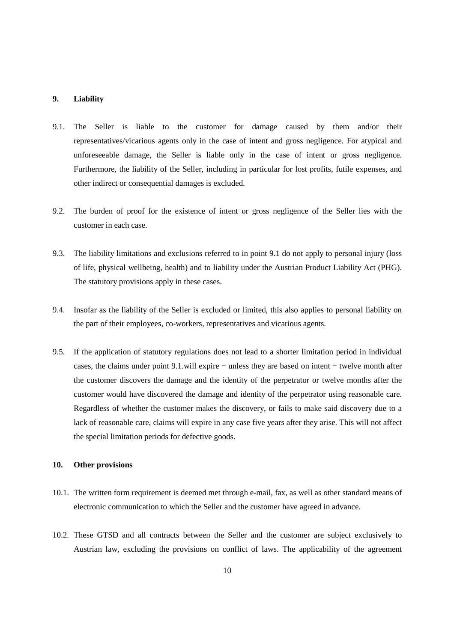## **9. Liability**

- 9.1. The Seller is liable to the customer for damage caused by them and/or their representatives/vicarious agents only in the case of intent and gross negligence. For atypical and unforeseeable damage, the Seller is liable only in the case of intent or gross negligence. Furthermore, the liability of the Seller, including in particular for lost profits, futile expenses, and other indirect or consequential damages is excluded.
- 9.2. The burden of proof for the existence of intent or gross negligence of the Seller lies with the customer in each case.
- 9.3. The liability limitations and exclusions referred to in point 9.1 do not apply to personal injury (loss of life, physical wellbeing, health) and to liability under the Austrian Product Liability Act (PHG). The statutory provisions apply in these cases.
- 9.4. Insofar as the liability of the Seller is excluded or limited, this also applies to personal liability on the part of their employees, co-workers, representatives and vicarious agents.
- 9.5. If the application of statutory regulations does not lead to a shorter limitation period in individual cases, the claims under point 9.1.will expire − unless they are based on intent − twelve month after the customer discovers the damage and the identity of the perpetrator or twelve months after the customer would have discovered the damage and identity of the perpetrator using reasonable care. Regardless of whether the customer makes the discovery, or fails to make said discovery due to a lack of reasonable care, claims will expire in any case five years after they arise. This will not affect the special limitation periods for defective goods.

#### **10. Other provisions**

- 10.1. The written form requirement is deemed met through e-mail, fax, as well as other standard means of electronic communication to which the Seller and the customer have agreed in advance.
- 10.2. These GTSD and all contracts between the Seller and the customer are subject exclusively to Austrian law, excluding the provisions on conflict of laws. The applicability of the agreement